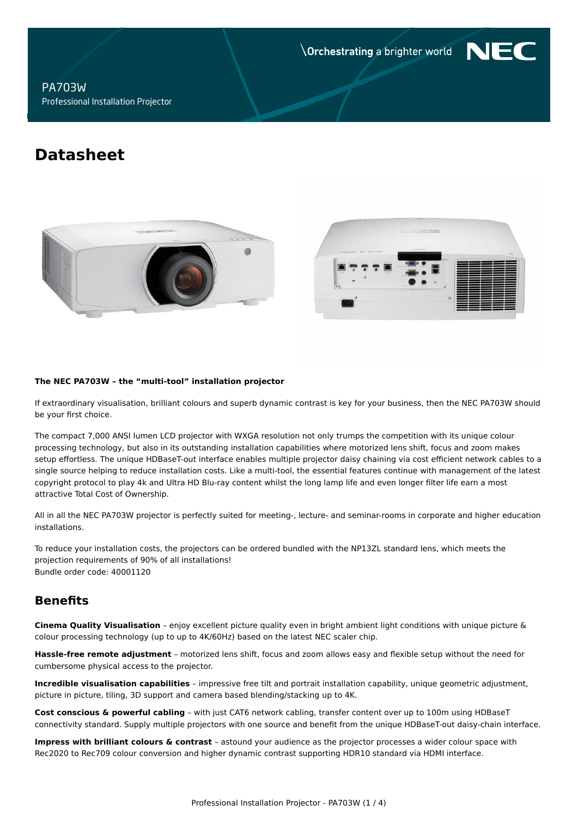**Orchestrating a brighter world** 

NF

## **PA703W** Professional Installation Projector

# **Datasheet**





#### The NEC PA703W - the "multi-tool" installation projector

If extraordinary visualisation, brilliant colours and superb dynamic contrast is key for your business, then the NEC PA703W should be your first choice.

The compact 7,000 ANSI lumen LCD projector with WXGA resolution not only trumps the competition with its unique colour processing technology, but also in its outstanding installation capabilities where motorized lens shift, focus and zoom makes setup effortless. The unique HDBaseT-out interface enables multiple projector daisy chaining via cost efficient network cables to a single source helping to reduce installation costs. Like a multi-tool, the essential features continue with management of the latest copyright protocol to play 4k and Ultra HD Blu-ray content whilst the long lamp life and even longer filter life earn a most attractive Total Cost of Ownership.

All in all the NEC PA703W projector is perfectly suited for meeting-, lecture- and seminar-rooms in corporate and higher education installations.

To reduce your installation costs, the projectors can be ordered bundled with the NP13ZL standard lens, which meets the projection requirements of 90% of all installations! Bundle order code: 40001120

# **Benefits**

Cinema Quality Visualisation - enjoy excellent picture quality even in bright ambient light conditions with unique picture & colour processing technology (up to up to 4K/60Hz) based on the latest NEC scaler chip.

Hassle-free remote adjustment - motorized lens shift, focus and zoom allows easy and flexible setup without the need for cumbersome physical access to the projector.

Incredible visualisation capabilities - impressive free tilt and portrait installation capability, unique geometric adjustment, picture in picture, tiling, 3D support and camera based blending/stacking up to 4K.

Cost conscious & powerful cabling - with just CAT6 network cabling, transfer content over up to 100m using HDBaseT connectivity standard. Supply multiple projectors with one source and benefit from the unique HDBaseT-out daisy-chain interface.

Impress with brilliant colours & contrast - astound your audience as the projector processes a wider colour space with Rec2020 to Rec709 colour conversion and higher dynamic contrast supporting HDR10 standard via HDMI interface.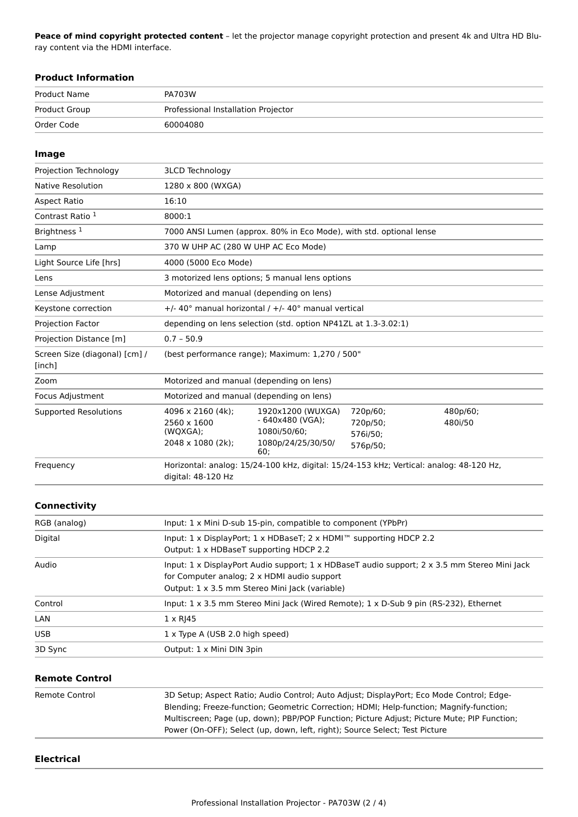Peace of mind copyright protected content - let the projector manage copyright protection and present 4k and Ultra HD Bluray content via the HDMI interface.

| <b>Product Information</b>              |                                                                                                                                                                                                                                 |
|-----------------------------------------|---------------------------------------------------------------------------------------------------------------------------------------------------------------------------------------------------------------------------------|
| <b>Product Name</b>                     | PA703W                                                                                                                                                                                                                          |
| <b>Product Group</b>                    | Professional Installation Projector                                                                                                                                                                                             |
| Order Code                              | 60004080                                                                                                                                                                                                                        |
|                                         |                                                                                                                                                                                                                                 |
| Image                                   |                                                                                                                                                                                                                                 |
| Projection Technology                   | <b>3LCD Technology</b>                                                                                                                                                                                                          |
| Native Resolution                       | 1280 x 800 (WXGA)                                                                                                                                                                                                               |
| <b>Aspect Ratio</b>                     | 16:10                                                                                                                                                                                                                           |
| Contrast Ratio <sup>1</sup>             | 8000:1                                                                                                                                                                                                                          |
| Brightness <sup>1</sup>                 | 7000 ANSI Lumen (approx. 80% in Eco Mode), with std. optional lense                                                                                                                                                             |
| Lamp                                    | 370 W UHP AC (280 W UHP AC Eco Mode)                                                                                                                                                                                            |
| Light Source Life [hrs]                 | 4000 (5000 Eco Mode)                                                                                                                                                                                                            |
| Lens                                    | 3 motorized lens options; 5 manual lens options                                                                                                                                                                                 |
| Lense Adjustment                        | Motorized and manual (depending on lens)                                                                                                                                                                                        |
| Keystone correction                     | +/- 40° manual horizontal / +/- 40° manual vertical                                                                                                                                                                             |
| Projection Factor                       | depending on lens selection (std. option NP41ZL at 1.3-3.02:1)                                                                                                                                                                  |
| Projection Distance [m]                 | $0.7 - 50.9$                                                                                                                                                                                                                    |
| Screen Size (diagonal) [cm] /<br>[inch] | (best performance range); Maximum: 1,270 / 500"                                                                                                                                                                                 |
| Zoom                                    | Motorized and manual (depending on lens)                                                                                                                                                                                        |
| Focus Adjustment                        | Motorized and manual (depending on lens)                                                                                                                                                                                        |
| <b>Supported Resolutions</b>            | 720p/60;<br>4096 x 2160 (4k);<br>1920x1200 (WUXGA)<br>480p/60;<br>$-640x480$ (VGA);<br>2560 x 1600<br>720p/50;<br>480i/50<br>1080i/50/60;<br>(WQXGA);<br>576i/50;<br>2048 x 1080 (2k);<br>1080p/24/25/30/50/<br>576p/50;<br>60: |
| Frequency                               | Horizontal: analog: 15/24-100 kHz, digital: 15/24-153 kHz; Vertical: analog: 48-120 Hz,<br>digital: 48-120 Hz                                                                                                                   |
| Connectivity                            |                                                                                                                                                                                                                                 |
| RGB (analog)                            | Input: 1 x Mini D-sub 15-pin, compatible to component (YPbPr)                                                                                                                                                                   |
| Digital                                 | Input: 1 x DisplayPort; 1 x HDBaseT; 2 x HDMI™ supporting HDCP 2.2<br>Output: 1 x HDBaseT supporting HDCP 2.2                                                                                                                   |
| Audio                                   | Input: 1 x DisplayPort Audio support; 1 x HDBaseT audio support; 2 x 3.5 mm Stereo Mini Jack<br>for Computer analog; 2 x HDMI audio support<br>Output: 1 x 3.5 mm Stereo Mini Jack (variable)                                   |
| Control                                 | Input: 1 x 3.5 mm Stereo Mini Jack (Wired Remote); 1 x D-Sub 9 pin (RS-232), Ethernet                                                                                                                                           |
| LAN                                     | $1 \times R$ J45                                                                                                                                                                                                                |
| USB                                     | 1 x Type A (USB 2.0 high speed)                                                                                                                                                                                                 |
| 3D Sync                                 | Output: 1 x Mini DIN 3pin                                                                                                                                                                                                       |
|                                         |                                                                                                                                                                                                                                 |
| <b>Remote Control</b>                   |                                                                                                                                                                                                                                 |
| Remote Control                          | 3D Setup: Aspect Ratio: Audio Control: Auto Adjust: DisplayPort: Eco Mode Control: Edge-                                                                                                                                        |

| emote Control | 3D Setup; Aspect Ratio; Audio Control; Auto Adjust; DisplayPort; Eco Mode Control; Edge-    |
|---------------|---------------------------------------------------------------------------------------------|
|               | Blending; Freeze-function; Geometric Correction; HDMI; Help-function; Magnify-function;     |
|               | Multiscreen; Page (up, down); PBP/POP Function; Picture Adjust; Picture Mute; PIP Function; |
|               | Power (On-OFF); Select (up, down, left, right); Source Select; Test Picture                 |

#### **Electrical**

L.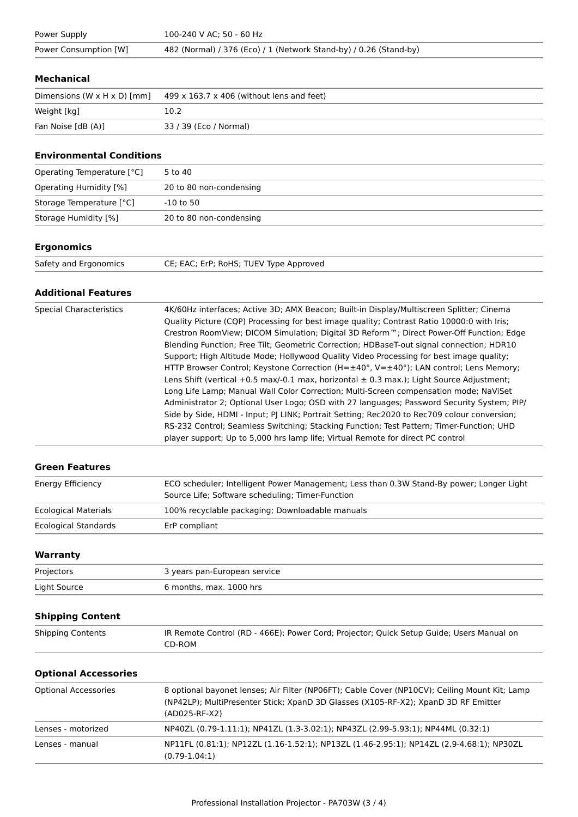| Power Supply          | 100-240 V AC: 50 - 60 Hz                                          |
|-----------------------|-------------------------------------------------------------------|
| Power Consumption [W] | 482 (Normal) / 376 (Eco) / 1 (Network Stand-by) / 0.26 (Stand-by) |

#### **Mechanical**

| Dimensions (W $\times$ H $\times$ D) [mm] | $499 \times 163.7 \times 406$ (without lens and feet) |
|-------------------------------------------|-------------------------------------------------------|
| Weight [kg]                               | 10.2                                                  |
| Fan Noise [dB (A)]                        | 33 / 39 (Eco / Normal)                                |

#### **Environmental Conditions**

| Operating Temperature [°C]    | 5 to 40                 |
|-------------------------------|-------------------------|
| <b>Operating Humidity [%]</b> | 20 to 80 non-condensing |
| Storage Temperature [°C]      | -10 to 50               |
| Storage Humidity [%]          | 20 to 80 non-condensing |

## **Ergonomics**

| Safety and Ergonomics | CE; EAC; ErP; RoHS; TUEV Type Approved |
|-----------------------|----------------------------------------|
|                       |                                        |

#### **Additional Features**

| <b>Special Characteristics</b> | 4K/60Hz interfaces; Active 3D; AMX Beacon; Built-in Display/Multiscreen Splitter; Cinema          |
|--------------------------------|---------------------------------------------------------------------------------------------------|
|                                | Quality Picture (CQP) Processing for best image quality; Contrast Ratio 10000:0 with Iris;        |
|                                | Crestron RoomView; DICOM Simulation; Digital 3D Reform™; Direct Power-Off Function; Edge          |
|                                | Blending Function; Free Tilt; Geometric Correction; HDBaseT-out signal connection; HDR10          |
|                                | Support; High Altitude Mode; Hollywood Quality Video Processing for best image quality;           |
|                                | HTTP Browser Control; Keystone Correction (H= $\pm$ 40°, V= $\pm$ 40°); LAN control; Lens Memory; |
|                                | Lens Shift (vertical +0.5 max/-0.1 max, horizontal $\pm$ 0.3 max.); Light Source Adjustment;      |
|                                | Long Life Lamp; Manual Wall Color Correction; Multi-Screen compensation mode; NaViSet             |
|                                | Administrator 2; Optional User Logo; OSD with 27 languages; Password Security System; PIP/        |
|                                | Side by Side, HDMI - Input; PJ LINK; Portrait Setting; Rec2020 to Rec709 colour conversion;       |
|                                | RS-232 Control; Seamless Switching; Stacking Function; Test Pattern; Timer-Function; UHD          |
|                                | player support; Up to 5,000 hrs lamp life; Virtual Remote for direct PC control                   |

#### **Green Features**

| Energy Efficiency           | ECO scheduler; Intelligent Power Management; Less than 0.3W Stand-By power; Longer Light<br>Source Life; Software scheduling; Timer-Function |
|-----------------------------|----------------------------------------------------------------------------------------------------------------------------------------------|
| <b>Ecological Materials</b> | 100% recyclable packaging; Downloadable manuals                                                                                              |
| Ecological Standards        | ErP compliant                                                                                                                                |

## Warranty

| Projectors   | 3 years pan-European service |
|--------------|------------------------------|
| Light Source | 6 months, max. 1000 hrs      |

## **Shipping Content**

| <b>Shipping Contents</b> | IR Remote Control (RD - 466E); Power Cord; Projector; Quick Setup Guide; Users Manual on |
|--------------------------|------------------------------------------------------------------------------------------|
|                          | CD-ROM                                                                                   |

#### **Optional Accessories**

| <b>Optional Accessories</b> | 8 optional bayonet lenses; Air Filter (NP06FT); Cable Cover (NP10CV); Ceiling Mount Kit; Lamp<br>(NP42LP); MultiPresenter Stick; XpanD 3D Glasses (X105-RF-X2); XpanD 3D RF Emitter<br>(AD025-RF-X2) |
|-----------------------------|------------------------------------------------------------------------------------------------------------------------------------------------------------------------------------------------------|
| Lenses - motorized          | NP40ZL (0.79-1.11:1); NP41ZL (1.3-3.02:1); NP43ZL (2.99-5.93:1); NP44ML (0.32:1)                                                                                                                     |
| Lenses - manual             | NP11FL (0.81:1); NP12ZL (1.16-1.52:1); NP13ZL (1.46-2.95:1); NP14ZL (2.9-4.68:1); NP30ZL<br>$(0.79-1.04:1)$                                                                                          |